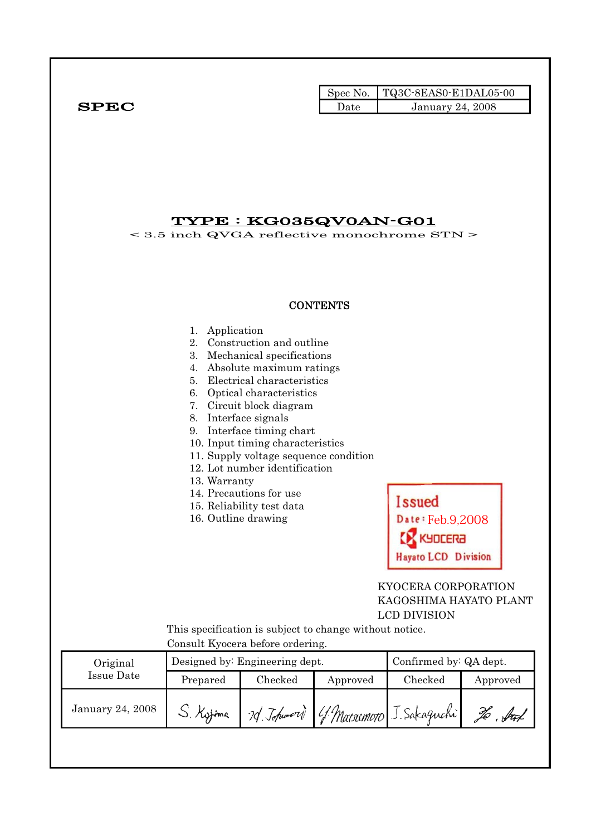|              |      | $\blacksquare$ Spec No. $\blacksquare$ TQ3C-8EAS0-E1DAL05-00 |
|--------------|------|--------------------------------------------------------------|
| ${\bf SPEC}$ | Date | <b>January 24, 2008</b>                                      |

## TYPE : KG035QV0AN-G01

< 3.5 inch QVGA reflective monochrome STN >

#### **CONTENTS**

#### 1. Application

- 2. Construction and outline
- 3. Mechanical specifications
- 4. Absolute maximum ratings
- 5. Electrical characteristics
- 6. Optical characteristics
- 7. Circuit block diagram
- 8. Interface signals
- 9. Interface timing chart
- 10. Input timing characteristics
- 11. Supply voltage sequence condition
- 12. Lot number identification
- 13. Warranty
- 14. Precautions for use
- 15. Reliability test data
- 16. Outline drawing

**Issued** Date: Feb.9,2008 **SA3JOK Hayato LCD Division** 

### KYOCERA CORPORATION KAGOSHIMA HAYATO PLANT LCD DIVISION

 This specification is subject to change without notice. Consult Kyocera before ordering.

| Original         |           | Designed by: Engineering dept. | Confirmed by: QA dept.               |         |          |
|------------------|-----------|--------------------------------|--------------------------------------|---------|----------|
| Issue Date       | Prepared  | $\rm Checked$                  | Approved                             | Checked | Approved |
| January 24, 2008 | S. Kyjima |                                | 70 Johnson G. Marsomoro J. Sakaguchi |         | X        |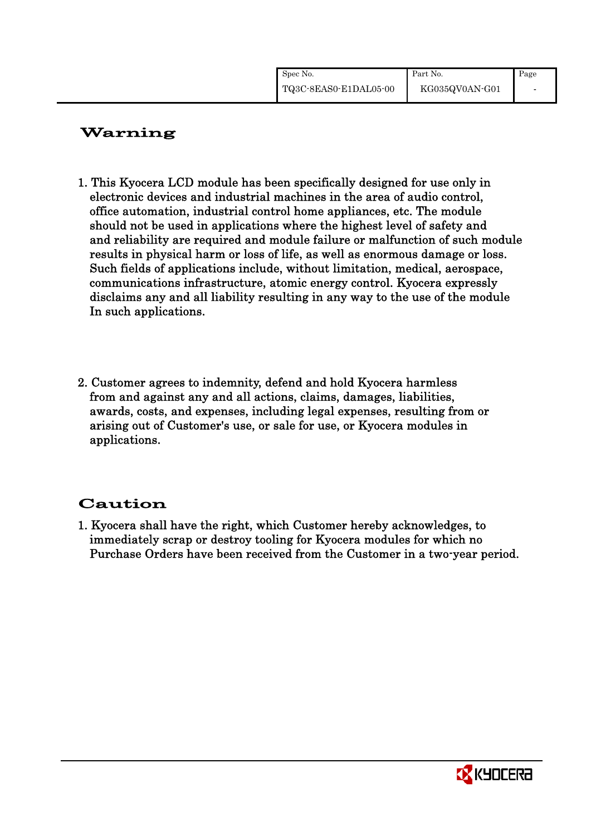| Spec No.              | Part No.       | Page |
|-----------------------|----------------|------|
| TQ3C-8EAS0-E1DAL05-00 | KG035QV0AN-G01 |      |

# Warning

- 1. This Kyocera LCD module has been specifically designed for use only in electronic devices and industrial machines in the area of audio control, office automation, industrial control home appliances, etc. The module should not be used in applications where the highest level of safety and and reliability are required and module failure or malfunction of such module results in physical harm or loss of life, as well as enormous damage or loss. Such fields of applications include, without limitation, medical, aerospace, communications infrastructure, atomic energy control. Kyocera expressly disclaims any and all liability resulting in any way to the use of the module In such applications.
- 2. Customer agrees to indemnity, defend and hold Kyocera harmless from and against any and all actions, claims, damages, liabilities, awards, costs, and expenses, including legal expenses, resulting from or arising out of Customer's use, or sale for use, or Kyocera modules in applications.

# Caution

1. Kyocera shall have the right, which Customer hereby acknowledges, to immediately scrap or destroy tooling for Kyocera modules for which no Purchase Orders have been received from the Customer in a two-year period.

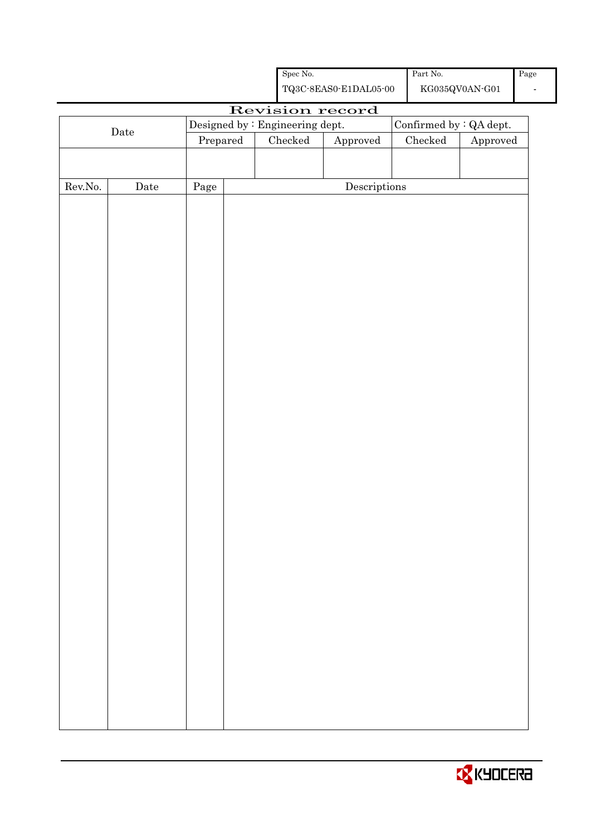|                  |             |            | ${\rm Spec}$ No.                | ${\bf TQ3C\text{-}SEAS0\text{-}E1DAL05\text{-}00}$ | $\operatorname{Part}$ No. | ${\rm KG}035{\rm QVOAN}\mbox{-}{\rm G01}$ | Page<br>$\overline{\phantom{a}}$ |
|------------------|-------------|------------|---------------------------------|----------------------------------------------------|---------------------------|-------------------------------------------|----------------------------------|
|                  |             |            | Revision record                 |                                                    |                           |                                           |                                  |
|                  |             |            | Designed by : Engineering dept. |                                                    | Confirmed by : QA dept.   |                                           |                                  |
|                  | $\rm{Date}$ |            | $\rm Checked$                   | Approved                                           | ${\it Checked}$           | Approved                                  |                                  |
|                  |             |            |                                 |                                                    |                           |                                           |                                  |
|                  |             |            |                                 |                                                    |                           |                                           |                                  |
| ${\rm Rev. No.}$ | $\rm{Date}$ | $\rm Page$ |                                 | $\label{eq:2} \textbf{Descriptions}$               |                           |                                           |                                  |
|                  |             |            |                                 |                                                    |                           |                                           |                                  |
|                  |             |            |                                 |                                                    |                           |                                           |                                  |
|                  |             |            |                                 |                                                    |                           |                                           |                                  |
|                  |             |            |                                 |                                                    |                           |                                           |                                  |
|                  |             |            |                                 |                                                    |                           |                                           |                                  |
|                  |             |            |                                 |                                                    |                           |                                           |                                  |
|                  |             |            |                                 |                                                    |                           |                                           |                                  |
|                  |             |            |                                 |                                                    |                           |                                           |                                  |
|                  |             |            |                                 |                                                    |                           |                                           |                                  |
|                  |             |            |                                 |                                                    |                           |                                           |                                  |
|                  |             |            |                                 |                                                    |                           |                                           |                                  |
|                  |             |            |                                 |                                                    |                           |                                           |                                  |
|                  |             |            |                                 |                                                    |                           |                                           |                                  |
|                  |             |            |                                 |                                                    |                           |                                           |                                  |
|                  |             |            |                                 |                                                    |                           |                                           |                                  |
|                  |             |            |                                 |                                                    |                           |                                           |                                  |
|                  |             |            |                                 |                                                    |                           |                                           |                                  |
|                  |             |            |                                 |                                                    |                           |                                           |                                  |
|                  |             |            |                                 |                                                    |                           |                                           |                                  |
|                  |             |            |                                 |                                                    |                           |                                           |                                  |
|                  |             |            |                                 |                                                    |                           |                                           |                                  |
|                  |             |            |                                 |                                                    |                           |                                           |                                  |
|                  |             |            |                                 |                                                    |                           |                                           |                                  |
|                  |             |            |                                 |                                                    |                           |                                           |                                  |
|                  |             |            |                                 |                                                    |                           |                                           |                                  |
|                  |             |            |                                 |                                                    |                           |                                           |                                  |
|                  |             |            |                                 |                                                    |                           |                                           |                                  |
|                  |             |            |                                 |                                                    |                           |                                           |                                  |
|                  |             |            |                                 |                                                    |                           |                                           |                                  |
|                  |             |            |                                 |                                                    |                           |                                           |                                  |
|                  |             |            |                                 |                                                    |                           |                                           |                                  |
|                  |             |            |                                 |                                                    |                           |                                           |                                  |
|                  |             |            |                                 |                                                    |                           |                                           |                                  |
|                  |             |            |                                 |                                                    |                           |                                           |                                  |
|                  |             |            |                                 |                                                    |                           |                                           |                                  |
|                  |             |            |                                 |                                                    |                           |                                           |                                  |
|                  |             |            |                                 |                                                    |                           |                                           |                                  |

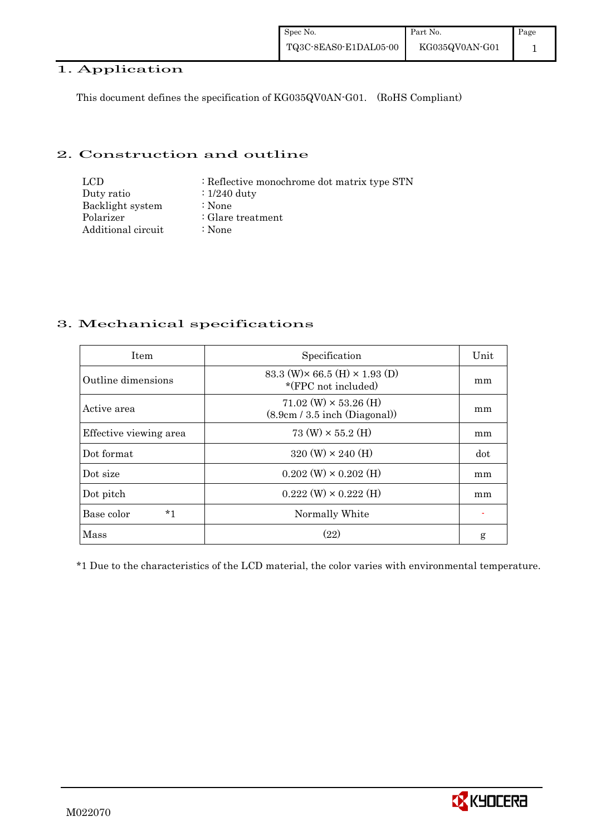## 1. Application

This document defines the specification of KG035QV0AN-G01. (RoHS Compliant)

#### 2. Construction and outline

| LCD.               | : Reflective monochrome dot matrix type STN |
|--------------------|---------------------------------------------|
| Duty ratio         | $\div 1/240$ duty                           |
| Backlight system   | :None                                       |
| Polarizer          | $\therefore$ Glare treatment                |
| Additional circuit | :None                                       |

## 3. Mechanical specifications

| <b>Item</b>            | Specification                                                       | Unit |
|------------------------|---------------------------------------------------------------------|------|
| Outline dimensions     | 83.3 (W) $\times$ 66.5 (H) $\times$ 1.93 (D)<br>*(FPC not included) | mm   |
| Active area            | $71.02 \ (W) \times 53.26 \ (H)$<br>(8.9cm / 3.5 inch (Diagonal))   | mm   |
| Effective viewing area | 73 (W) $\times$ 55.2 (H)                                            | mm   |
| Dot format             | $320 \text{ (W)} \times 240 \text{ (H)}$                            | dot  |
| Dot size               | $0.202$ (W) $\times$ 0.202 (H)                                      | mm   |
| Dot pitch              | $0.222 \text{ (W)} \times 0.222 \text{ (H)}$                        | mm   |
| $*1$<br>Base color     | Normally White                                                      |      |
| Mass                   | (22)                                                                | g    |

\*1 Due to the characteristics of the LCD material, the color varies with environmental temperature.

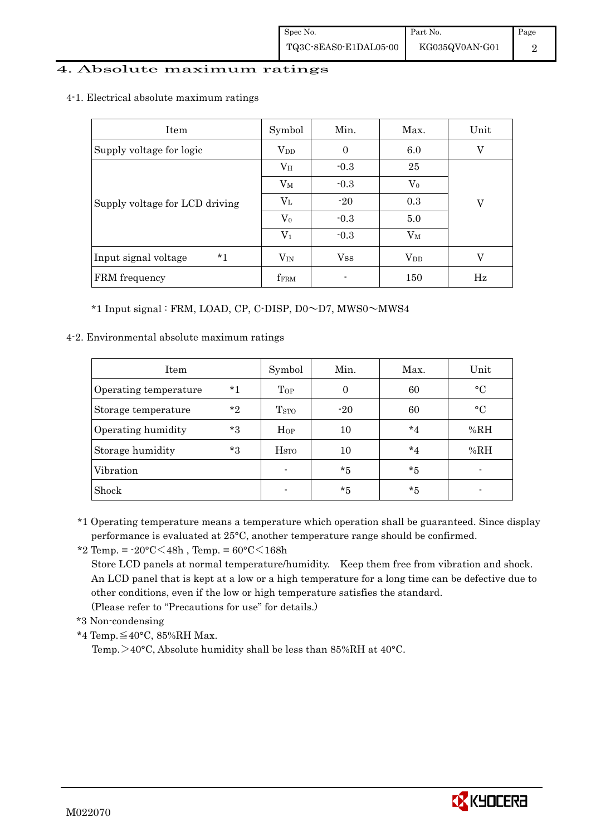#### 4. Absolute maximum ratings

4-1. Electrical absolute maximum ratings

| <b>Item</b>                    | Symbol          | Min.           | Max.      | Unit        |
|--------------------------------|-----------------|----------------|-----------|-------------|
| Supply voltage for logic       | $\rm V_{DD}$    | $\overline{0}$ | 6.0       | V           |
|                                | $V_{\rm H}$     | $-0.3$         | 25        |             |
|                                | $V_M$           | $-0.3$         | $\rm V_0$ |             |
| Supply voltage for LCD driving | $V_{L}$         | $-20$          | 0.3       | V           |
|                                | $\rm V_0$       | $-0.3$         | 5.0       |             |
|                                | $\rm V_1$       | $-0.3$         | $\rm V_M$ |             |
| $*1$<br>Input signal voltage   | $V_{IN}$        | $_{\rm Vss}$   | $V_{DD}$  | V           |
| FRM frequency                  | ${\rm f_{FRM}}$ |                | 150       | $_{\rm Hz}$ |

\*1 Input signal : FRM, LOAD, CP, C-DISP, D0~D7, MWS0~MWS4

4-2. Environmental absolute maximum ratings

| <b>Item</b>           |         | Symbol                  | Min.     | Max.    | Unit      |
|-----------------------|---------|-------------------------|----------|---------|-----------|
| Operating temperature | $*1$    | Top                     | $\Omega$ | 60      | $\circ$ C |
| Storage temperature   | $*_{2}$ | T <sub>STO</sub>        | $-20$    | 60      | $\circ$ C |
| Operating humidity    | $*_{3}$ | Hop                     | 10       | $*_{4}$ | %RH       |
| Storage humidity      | $*3$    | <b>H</b> <sub>STO</sub> | 10       | $*_{4}$ | %RH       |
| Vibration             |         | $\blacksquare$          | $*5$     | $*5$    |           |
| Shock                 |         |                         | $*5$     | $*5$    |           |

\*1 Operating temperature means a temperature which operation shall be guaranteed. Since display performance is evaluated at 25°C, another temperature range should be confirmed.

\*2 Temp. =  $-20^{\circ}$ C $<$ 48h, Temp. =  $60^{\circ}$ C $<$ 168h

 Store LCD panels at normal temperature/humidity. Keep them free from vibration and shock. An LCD panel that is kept at a low or a high temperature for a long time can be defective due to other conditions, even if the low or high temperature satisfies the standard.

(Please refer to "Precautions for use" for details.)

\*3 Non-condensing

\*4 Temp.≦40°C, 85%RH Max.

Temp. >40°C, Absolute humidity shall be less than 85%RH at 40°C.

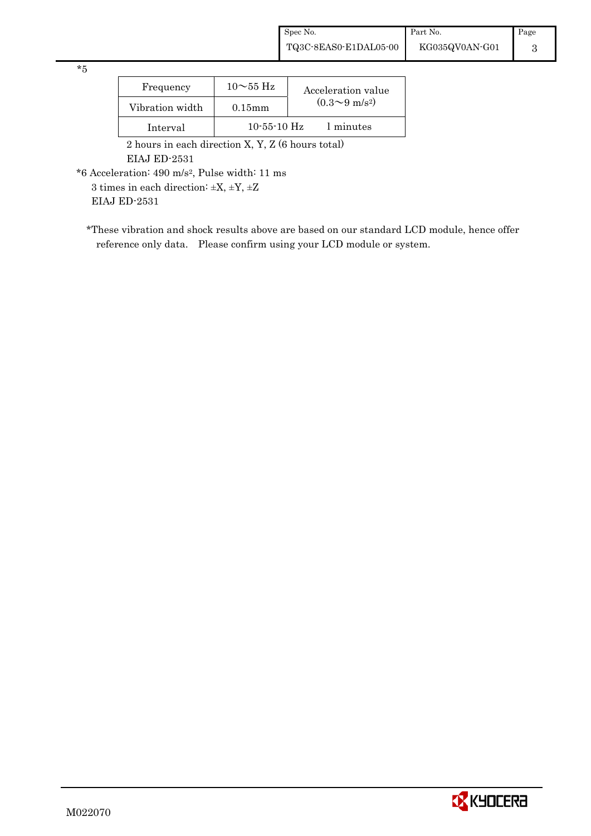\*5

| Frequency       | $10\sim$ 55 Hz    | Acceleration value           |
|-----------------|-------------------|------------------------------|
| Vibration width | $0.15$ m m        | $(0.3 \sim 9 \text{ m/s}^2)$ |
| Interval        | $10 - 55 - 10$ Hz | 1 minutes                    |

 2 hours in each direction X, Y, Z (6 hours total) EIAJ ED-2531

\*6 Acceleration: 490 m/s2, Pulse width: 11 ms

3 times in each direction: ±X, ±Y, ±Z

EIAJ ED-2531

\*These vibration and shock results above are based on our standard LCD module, hence offer reference only data. Please confirm using your LCD module or system.

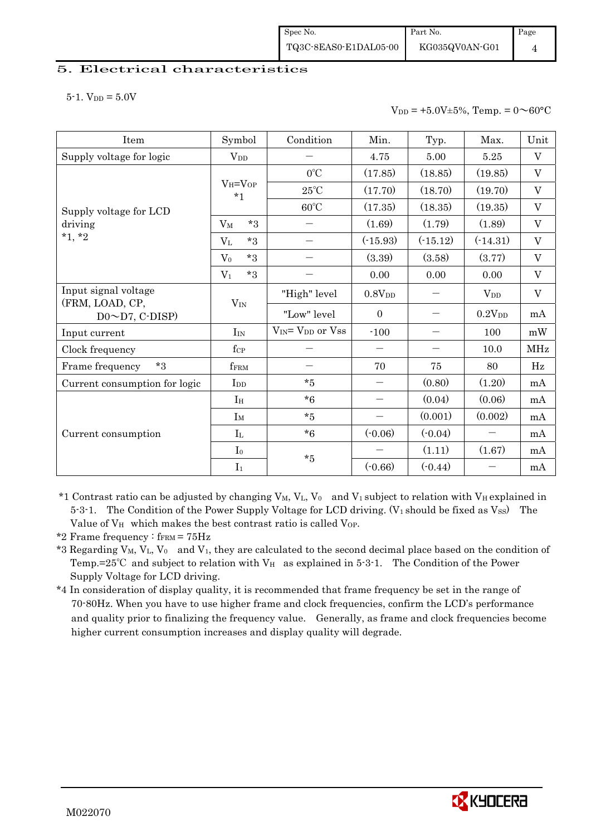#### 5. Electrical characteristics

 $5-1.$  V<sub>DD</sub> =  $5.0V$ 

 $V_{DD} = +5.0V \pm 5\%,$  Temp. =  $0 \sim 60^{\circ}$ C

| Item                                          | Symbol                           | Condition                     | Min.                     | Typ.       | Max.               | Unit        |
|-----------------------------------------------|----------------------------------|-------------------------------|--------------------------|------------|--------------------|-------------|
| Supply voltage for logic                      | $V_{DD}$                         |                               | 4.75                     | 5.00       | 5.25               | $\rm V$     |
|                                               |                                  | $0^{\circ}$ C                 | (17.85)                  | (18.85)    | (19.85)            | V           |
|                                               | $V_H = V_{OP}$<br>$*1$           | $25^{\circ}$ C                | (17.70)                  | (18.70)    | (19.70)            | V           |
| Supply voltage for LCD<br>driving<br>$*1, *2$ |                                  | $60^{\circ}$ C                | (17.35)                  | (18.35)    | (19.35)            | $\rm V$     |
|                                               | $*3$<br>$V_M$                    | $\overline{\phantom{m}}$      | (1.69)                   | (1.79)     | (1.89)             | $\rm V$     |
|                                               | $*3$<br>$V_{L}$                  |                               | $(-15.93)$               | $(-15.12)$ | $(-14.31)$         | V           |
|                                               | $*3$<br>$V_0$                    |                               | (3.39)                   | (3.58)     | (3.77)             | $\rm V$     |
|                                               | $*3$<br>$V_1$                    |                               | 0.00                     | 0.00       | 0.00               | $\rm V$     |
| Input signal voltage                          |                                  | "High" level                  | 0.8V <sub>DD</sub>       |            | $V_{DD}$           | $\mathbf V$ |
| (FRM, LOAD, CP,<br>$D0 \sim D7$ , C-DISP)     | $V_{IN}$                         | "Low" level                   | $\mathbf{0}$             |            | 0.2V <sub>DD</sub> | mA          |
| Input current                                 | $\rm{I}_{\rm{IN}}$               | $V_{IN} = V_{DD}$ or $V_{SS}$ | $-100$                   |            | 100                | mW          |
| Clock frequency                               | $f_{\mathrm{CP}}$                |                               |                          |            | 10.0               | MHz         |
| $*3$<br>Frame frequency                       | $f_{\rm FRM}$                    |                               | 70                       | 75         | 80                 | Hz          |
| Current consumption for logic                 | $\mathop{\mathrm{Ind}}\nolimits$ | $*5$                          | —                        | (0.80)     | (1.20)             | mA          |
|                                               | I <sub>H</sub>                   | $*6$                          | $\overline{\phantom{0}}$ | (0.04)     | (0.06)             | mA          |
|                                               | $I_M$                            | $*5$                          | —                        | (0.001)    | (0.002)            | mA          |
| Current consumption                           | $I_{L}$                          | $*6$                          | $(-0.06)$                | $(-0.04)$  |                    | mA          |
|                                               | I <sub>0</sub>                   | $*5$                          |                          | (1.11)     | (1.67)             | mA          |
|                                               | I <sub>1</sub>                   |                               | $(-0.66)$                | $(-0.44)$  |                    | mA          |

\*1 Contrast ratio can be adjusted by changing  $V_M$ ,  $V_L$ ,  $V_0$  and  $V_1$  subject to relation with  $V_H$  explained in 5-3-1. The Condition of the Power Supply Voltage for LCD driving. (V<sub>1</sub> should be fixed as Vss) The Value of V<sub>H</sub> which makes the best contrast ratio is called V<sub>OP</sub>.

- \*3 Regarding V<sub>M</sub>, V<sub>L</sub>, V<sub>0</sub> and V<sub>1</sub>, they are calculated to the second decimal place based on the condition of Temp.=25°C and subject to relation with  $V_H$  as explained in 5-3-1. The Condition of the Power Supply Voltage for LCD driving.
- \*4 In consideration of display quality, it is recommended that frame frequency be set in the range of 70-80Hz. When you have to use higher frame and clock frequencies, confirm the LCD's performance and quality prior to finalizing the frequency value. Generally, as frame and clock frequencies become higher current consumption increases and display quality will degrade.



<sup>\*2</sup> Frame frequency :  $f_{\text{FRM}} = 75 \text{Hz}$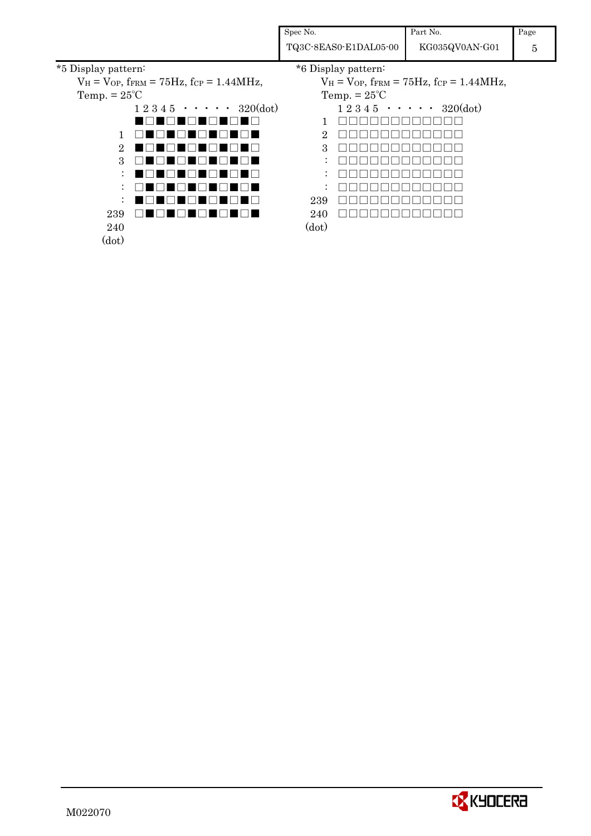|                       |                                                              | Spec No. |                       | Part No.                                                     | Page |
|-----------------------|--------------------------------------------------------------|----------|-----------------------|--------------------------------------------------------------|------|
|                       |                                                              |          | TQ3C-8EAS0-E1DAL05-00 | KG035QV0AN-G01                                               | 5    |
| *5 Display pattern:   |                                                              |          | *6 Display pattern:   |                                                              |      |
|                       | $V_H = V_{OP}$ , fram = 75Hz, fcp = 1.44MHz,                 |          |                       | $V_H = V_{OP}$ , fram = 75Hz, fcp = 1.44MHz,                 |      |
| Temp. $= 25^{\circ}C$ |                                                              |          | Temp. $= 25^{\circ}C$ |                                                              |      |
|                       | $1\ 2\ 3\ 4\ 5\ \cdot\ \cdot\ \cdot\ \cdot\ 320(\text{dot})$ |          |                       | $1\ 2\ 3\ 4\ 5\ \cdot\ \cdot\ \cdot\ \cdot\ 320(\text{dot})$ |      |
|                       |                                                              |          |                       |                                                              |      |
|                       |                                                              | 2        |                       |                                                              |      |
| 2                     |                                                              | З        |                       |                                                              |      |
| З                     |                                                              |          |                       |                                                              |      |
|                       |                                                              |          |                       |                                                              |      |
|                       |                                                              |          |                       |                                                              |      |
|                       |                                                              | 239      |                       |                                                              |      |
| 239                   |                                                              | 240      |                       |                                                              |      |
| 240                   |                                                              | (dot)    |                       |                                                              |      |
| (dot)                 |                                                              |          |                       |                                                              |      |
|                       |                                                              |          |                       |                                                              |      |



5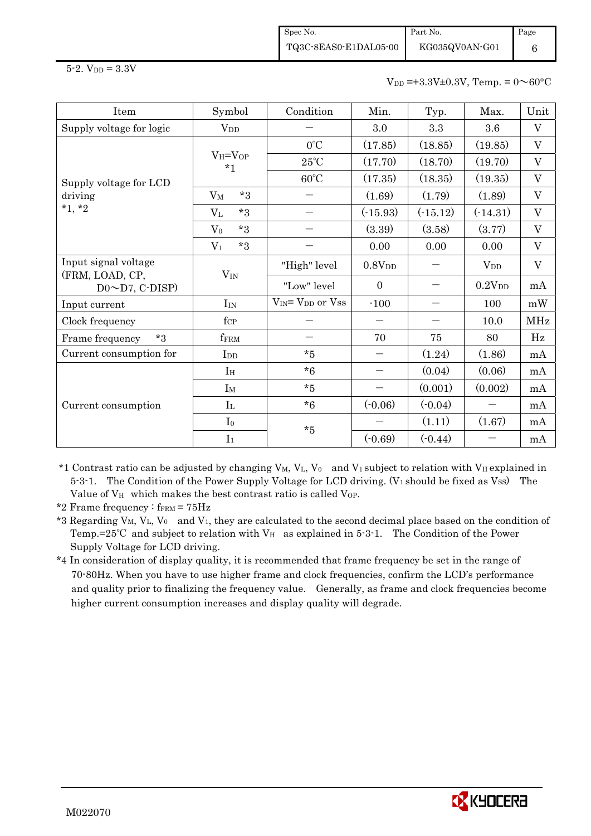Spec No. TQ3C-8EAS0-E1DAL05-00 Part No. Page 6

 $5 - 2.$  V<sub>DD</sub> =  $3.3V$ 

 $V_{DD} = +3.3V \pm 0.3V$ , Temp. =  $0 \sim 60^{\circ}$ C

| Item                                    | Symbol                 | Condition                                | Min.                     | Typ.       | Max.               | Unit    |
|-----------------------------------------|------------------------|------------------------------------------|--------------------------|------------|--------------------|---------|
| Supply voltage for logic                | <b>V</b> <sub>DD</sub> |                                          | 3.0                      | 3.3        | 3.6                | V       |
| Supply voltage for LCD                  | $V_H = V_{OP}$<br>$*1$ | $0^{\circ}$ C                            | (17.85)                  | (18.85)    | (19.85)            | V       |
|                                         |                        | $25^{\circ}$ C                           | (17.70)                  | (18.70)    | (19.70)            | V       |
|                                         |                        | $60^{\circ}$ C                           | (17.35)                  | (18.35)    | (19.35)            | V       |
| driving                                 | $*3$<br>$V_M$          |                                          | (1.69)                   | (1.79)     | (1.89)             | $\rm V$ |
| $*1, *2$                                | $*3$<br>$\rm V_L$      |                                          | $(-15.93)$               | $(-15.12)$ | $(-14.31)$         | V       |
|                                         | $*3$<br>$V_0$          |                                          | (3.39)                   | (3.58)     | (3.77)             | V       |
|                                         | $*3$<br>V <sub>1</sub> |                                          | 0.00                     | 0.00       | 0.00               | V       |
| Input signal voltage<br>(FRM, LOAD, CP, | $V_{IN}$               | "High" level                             | $0.8{\rm V_{DD}}$        |            | $V_{DD}$           | V       |
| $D0 \sim D7$ , C-DISP)                  |                        | "Low" level                              | $\theta$                 |            | 0.2V <sub>DD</sub> | mA      |
| Input current                           | $I_{IN}$               | V <sub>IN</sub> = V <sub>DD</sub> or Vss | $-100$                   |            | 100                | mW      |
| Clock frequency                         | $f_{\rm CP}$           |                                          |                          |            | 10.0               | MHz     |
| ${}^{\star}3$<br>Frame frequency        | ffrm                   |                                          | 70                       | 75         | 80                 | Hz      |
| Current consumption for                 | I <sub>DD</sub>        | $\boldsymbol{*}5$                        | $\overline{\phantom{0}}$ | (1.24)     | (1.86)             | mA      |
|                                         | I <sub>H</sub>         | $*6$                                     | $\overline{\phantom{0}}$ | (0.04)     | (0.06)             | mA      |
|                                         | $I_M$                  | $*5$                                     | $\overline{\phantom{0}}$ | (0.001)    | (0.002)            | mA      |
| Current consumption                     | $I_{L}$                | $*6$                                     | $(-0.06)$                | $(-0.04)$  | $\qquad \qquad$    | mA      |
|                                         | I <sub>0</sub>         |                                          |                          | (1.11)     | (1.67)             | mA      |
|                                         | I <sub>1</sub>         | $\boldsymbol{*}5$                        | $(-0.69)$                | $(-0.44)$  |                    | mA      |

\*1 Contrast ratio can be adjusted by changing  $V_M$ ,  $V_L$ ,  $V_0$  and  $V_1$  subject to relation with  $V_H$  explained in  $5-3-1$ . The Condition of the Power Supply Voltage for LCD driving. (V<sub>1</sub> should be fixed as V<sub>SS</sub>) The Value of V<sub>H</sub> which makes the best contrast ratio is called VoP.

\*2 Frame frequency :  $f_{\text{FRM}} = 75 \text{Hz}$ 

\*3 Regarding V<sub>M</sub>, V<sub>L</sub>, V<sub>0</sub> and V<sub>1</sub>, they are calculated to the second decimal place based on the condition of Temp.=25°C and subject to relation with  $V_H$  as explained in 5-3-1. The Condition of the Power Supply Voltage for LCD driving.

\*4 In consideration of display quality, it is recommended that frame frequency be set in the range of 70-80Hz. When you have to use higher frame and clock frequencies, confirm the LCD's performance and quality prior to finalizing the frequency value. Generally, as frame and clock frequencies become higher current consumption increases and display quality will degrade.

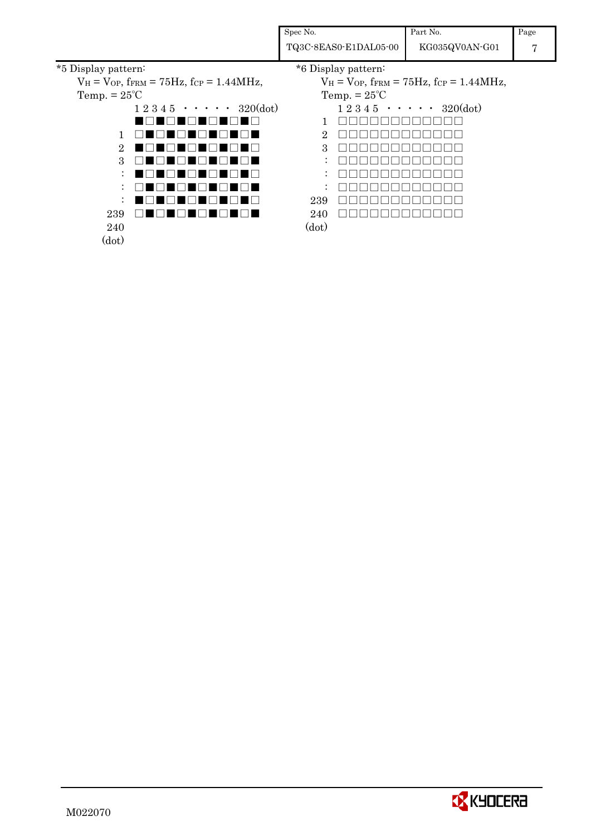|                                                                      | Spec No.              | Part No.                                                             | Page |
|----------------------------------------------------------------------|-----------------------|----------------------------------------------------------------------|------|
|                                                                      | TQ3C-8EAS0-E1DAL05-00 | KG035QV0AN-G01                                                       | 7    |
| *5 Display pattern:                                                  | *6 Display pattern:   |                                                                      |      |
| $V_H = V_{OP}$ , f <sub>FRM</sub> = 75Hz, fc <sub>P</sub> = 1.44MHz, |                       | $V_H = V_{OP}$ , f <sub>FRM</sub> = 75Hz, f <sub>CP</sub> = 1.44MHz, |      |
| Temp. $= 25^{\circ}C$                                                | Temp. $= 25^{\circ}C$ |                                                                      |      |
| $1\ 2\ 3\ 4\ 5\ \cdot\ \cdot\ \cdot\ \cdot\ 320(\text{dot})$         |                       | $1\ 2\ 3\ 4\ 5\ \cdot\ \cdot\ \cdot\ \cdot\ 320(\text{dot})$         |      |
|                                                                      |                       |                                                                      |      |
|                                                                      | ച                     |                                                                      |      |
|                                                                      |                       |                                                                      |      |

: :

(dot)

: □□□□□□□□□□□□ 239 □□□□□□□□□□□□ 240 □□□□□□□□□□□□□

□□□□□□□□□□□□ □□□□□□□□□□□□

1 2 3 : :

240 (dot)

: ■□■□■□■□■□■□ 239 □■□■□■□■□■□■□

□■□■□■□■□■□■ ■□■□■□■□■□■□ □■□■□■□■□■□■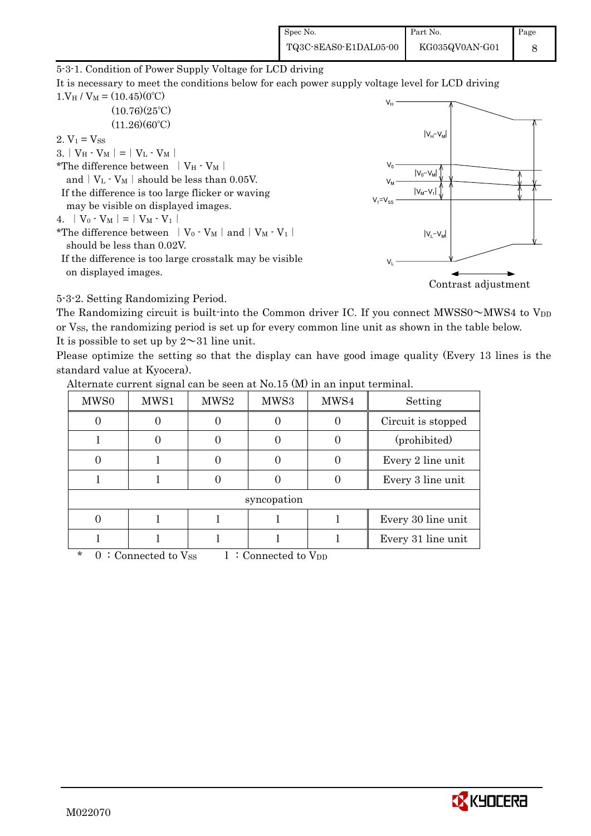| Spec No.              | Part No.       | Page |
|-----------------------|----------------|------|
| TQ3C-8EAS0-E1DAL05-00 | KG035QV0AN-G01 |      |

5-3-1. Condition of Power Supply Voltage for LCD driving

It is necessary to meet the conditions below for each power supply voltage level for LCD driving  $1. V_H / V_M = (10.45)(0^{\circ}C)$ 

 $(10.76)(25^{\circ}C)$  $(11.26)(60^{\circ}C)$ 

2.  $V_1 = V_{SS}$ 

3. |  $V_H - V_M$  | = |  $V_L - V_M$  |

\*The difference between  $|V_H - V_M|$ 

and  $|V_L - V_M|$  should be less than 0.05V.

 If the difference is too large flicker or waving may be visible on displayed images.

4.  $|V_0 \cdot V_M| = |V_M \cdot V_1|$ 

\*The difference between  $|V_0 \cdot V_M|$  and  $|V_M \cdot V_1|$ should be less than 0.02V.

 If the difference is too large crosstalk may be visible on displayed images.



Contrast adjustment

5-3-2. Setting Randomizing Period.

The Randomizing circuit is built-into the Common driver IC. If you connect  $MWSS0~\sim~MWS4$  to V<sub>DD</sub> or VSS, the randomizing period is set up for every common line unit as shown in the table below. It is possible to set up by  $2 \sim 31$  line unit.

Please optimize the setting so that the display can have good image quality (Every 13 lines is the standard value at Kyocera).

| MWS <sub>0</sub> | MWS1                                  | MWS2 | MWS3                          | MWS4 | Setting            |
|------------------|---------------------------------------|------|-------------------------------|------|--------------------|
|                  | $\Omega$                              |      |                               |      | Circuit is stopped |
|                  | $\Omega$                              |      | 0                             |      | (prohibited)       |
|                  |                                       |      | $\theta$                      |      | Every 2 line unit  |
|                  |                                       |      |                               |      | Every 3 line unit  |
| syncopation      |                                       |      |                               |      |                    |
|                  |                                       |      |                               |      | Every 30 line unit |
|                  |                                       |      |                               |      | Every 31 line unit |
| $\star$          | $0.2$ Connected to $V_{\alpha\alpha}$ |      | $\cdot$ Connected to $V_{DD}$ |      |                    |

Alternate current signal can be seen at No.15 (M) in an input terminal.

: Connected to Vss 1: Connected to V<sub>DD</sub>

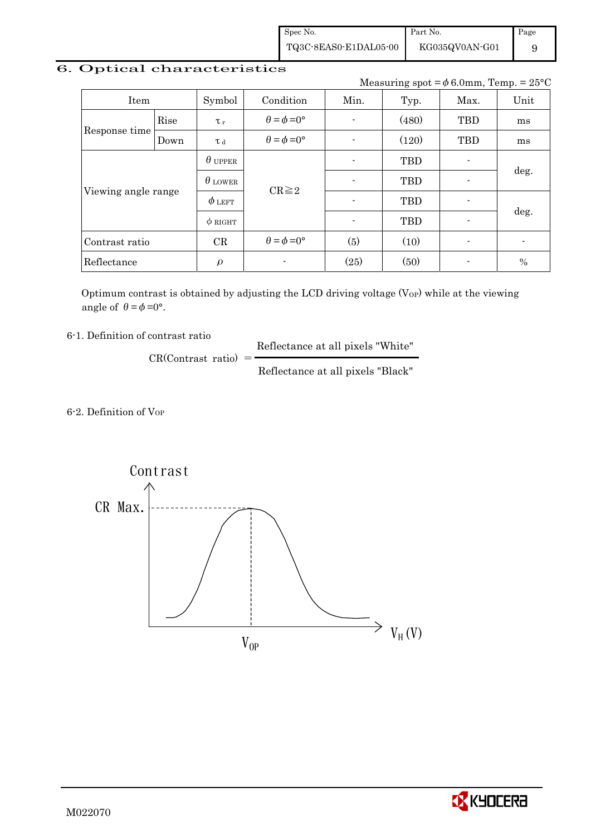Spec No. TQ3C-8EAS0-E1DAL05-00 Part No. KG035QV0AN-G01 Page 9

## 6. Optical characteristics

Measuring spot =  $\phi$  6.0mm, Temp. = 25°C

| Item                |                | Symbol         | Condition                   | Min. | Typ.       | Max.           | Unit |
|---------------------|----------------|----------------|-----------------------------|------|------------|----------------|------|
|                     | Rise           | $\tau_r$       | $\theta = \phi = 0^{\circ}$ |      | (480)      | <b>TBD</b>     | ms   |
| Response time       | Down           | T d            | $\theta = \phi = 0^{\circ}$ |      | (120)      | <b>TBD</b>     | ms   |
|                     | $\theta$ upper |                |                             |      | <b>TBD</b> |                |      |
|                     |                | $\theta$ lower | $CR \geq 2$                 |      | <b>TBD</b> | $\blacksquare$ | deg. |
| Viewing angle range |                | $\phi$ left    |                             |      | <b>TBD</b> |                |      |
|                     |                | $\phi$ RIGHT   |                             |      | <b>TBD</b> | $\blacksquare$ | deg. |
| Contrast ratio      |                | CR             | $\theta = \phi = 0^{\circ}$ | (5)  | (10)       | $\blacksquare$ |      |
| Reflectance         |                | $\rho$         |                             | (25) | (50)       |                | $\%$ |

Optimum contrast is obtained by adjusting the LCD driving voltage  $(V_{OP})$  while at the viewing angle of  $\theta = \phi = 0^{\circ}$ .

6-1. Definition of contrast ratio

 Reflectance at all pixels "White"  $CR(Contrast ratio) =$ 

Reflectance at all pixels "Black"

6-2. Definition of VOP



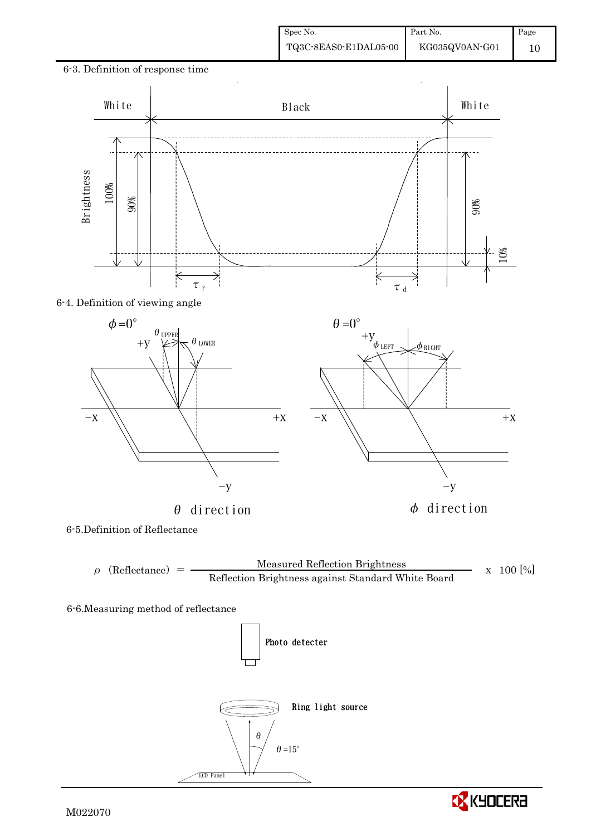

#### 6-4. Definition of viewing angle



6-5.Definition of Reflectance



6-6.Measuring method of reflectance





-y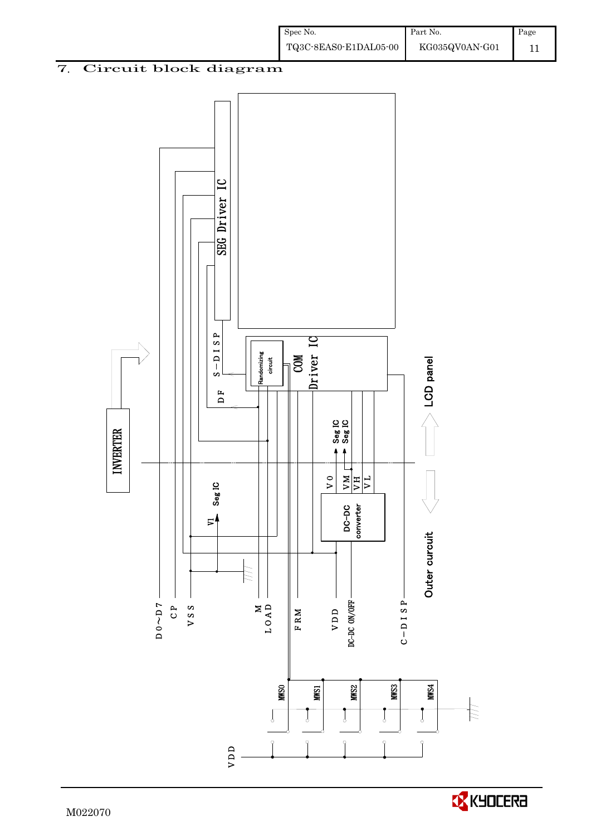

Spec No.

TQ3C-8EAS0-E1DAL05-00

Part No.

KG035QV0AN-G01

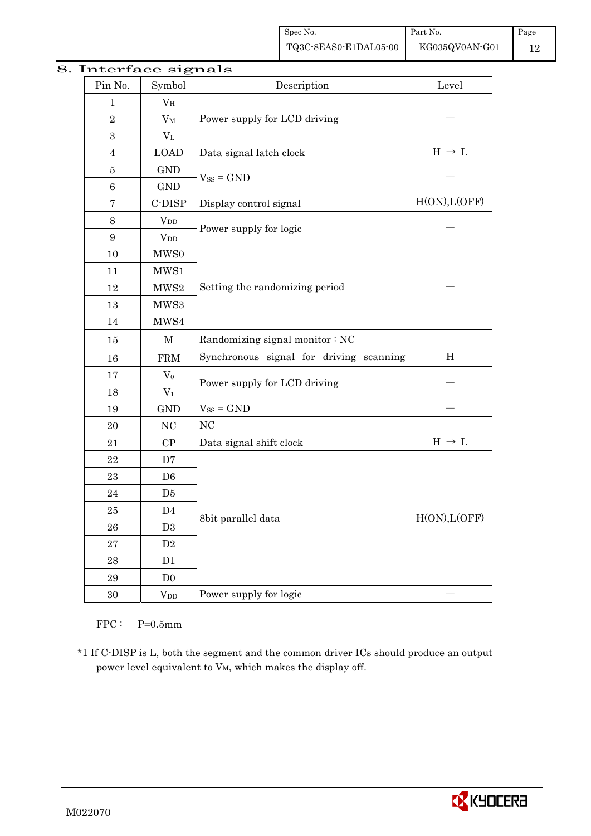| Pin No.          | mteriace signais<br>Symbol | Description                             | Level                                 |  |
|------------------|----------------------------|-----------------------------------------|---------------------------------------|--|
| $\mathbf 1$      | $V_{\rm H}$                |                                         |                                       |  |
| $\overline{2}$   | $V_M$                      | Power supply for LCD driving            |                                       |  |
| $\boldsymbol{3}$ | $V_{L}$                    |                                         |                                       |  |
| $\overline{4}$   | <b>LOAD</b>                | Data signal latch clock                 | $\mathrm{H}\,\rightarrow\,\mathrm{L}$ |  |
| $\overline{5}$   | <b>GND</b>                 |                                         |                                       |  |
| 6                | <b>GND</b>                 | $V_{SS} = GND$                          |                                       |  |
| $\overline{7}$   | C-DISP                     | Display control signal                  | H(ON), L(OFF)                         |  |
| 8                | $V_{DD}$                   |                                         |                                       |  |
| $\boldsymbol{9}$ | $V_{DD}$                   | Power supply for logic                  |                                       |  |
| 10               | MWS0                       |                                         |                                       |  |
| 11               | MWS1                       |                                         |                                       |  |
| 12               | MWS2                       | Setting the randomizing period          |                                       |  |
| 13               | MWS3                       |                                         |                                       |  |
| 14               | MWS4                       |                                         |                                       |  |
| 15               | $\mathbf M$                | Randomizing signal monitor: NC          |                                       |  |
| 16               | <b>FRM</b>                 | Synchronous signal for driving scanning | H                                     |  |
| 17               | $\rm V_0$                  |                                         |                                       |  |
| 18               | $\mathrm{V}_1$             | Power supply for LCD driving            |                                       |  |
| 19               | <b>GND</b>                 | $V_{SS} = GND$                          |                                       |  |
| 20               | $\rm NC$                   | NC                                      |                                       |  |
| 21               | $\rm CP$                   | Data signal shift clock                 | $\text{H}\,\rightarrow\,\text{L}$     |  |
| 22               | D7                         |                                         |                                       |  |
| 23               | D <sub>6</sub>             |                                         |                                       |  |
| $\bf{24}$        | D5                         |                                         |                                       |  |
| 25               | D <sub>4</sub>             |                                         | H(ON), L(OFF)                         |  |
| ${\bf 26}$       | $\mathrm{D}3$              | 8bit parallel data                      |                                       |  |
| 27               | $\mathbf{D}2$              |                                         |                                       |  |
| 28               | D1                         |                                         |                                       |  |
| 29               | D <sub>0</sub>             |                                         |                                       |  |
| $30\,$           | $V_{DD}$                   | Power supply for logic                  |                                       |  |

### 8. Interface signals

 $FPC:$  P=0.5mm

\*1 If C-DISP is L, both the segment and the common driver ICs should produce an output power level equivalent to  $V_M$ , which makes the display off.

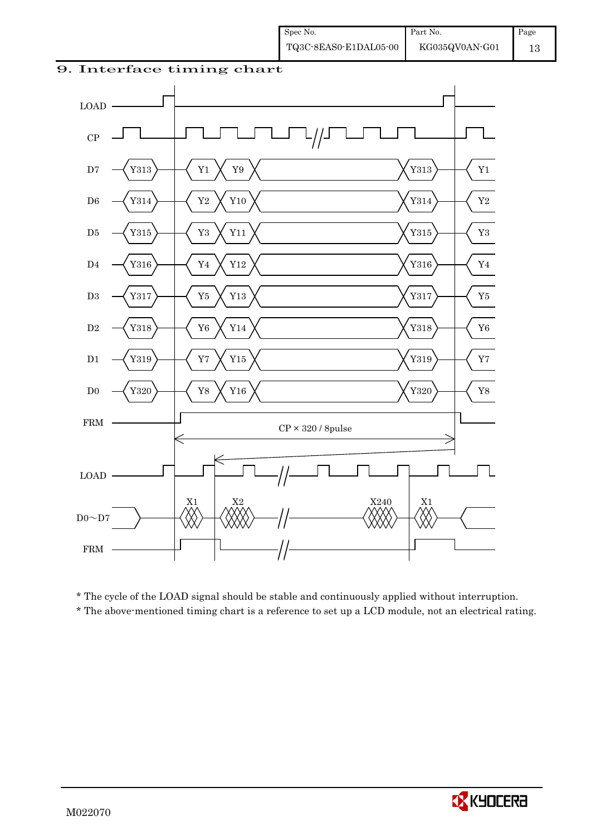9. Interface timing chart



 \* The cycle of the LOAD signal should be stable and continuously applied without interruption. \* The above-mentioned timing chart is a reference to set up a LCD module, not an electrical rating.

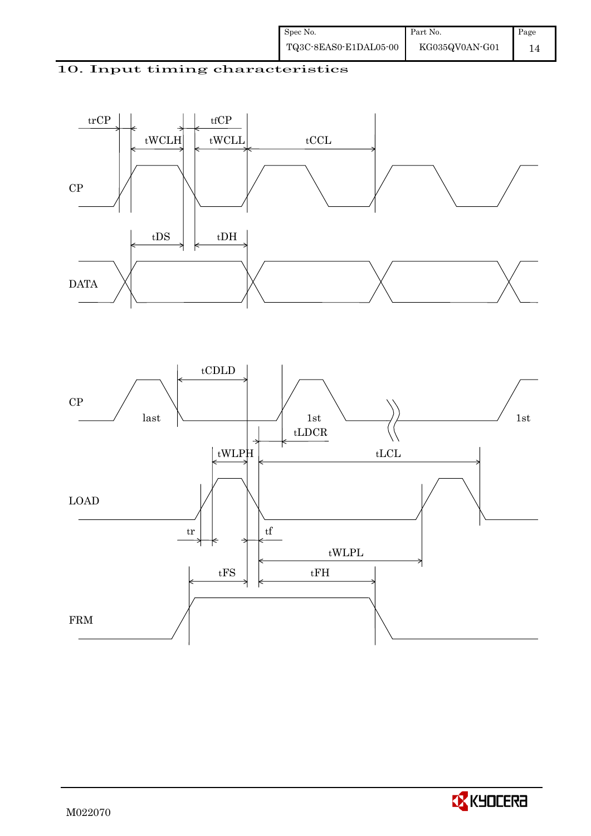





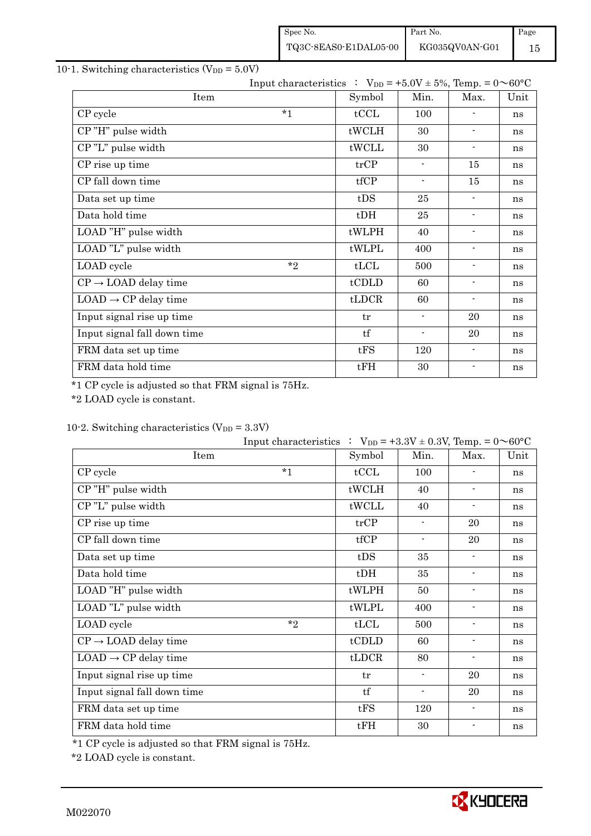| Spec No.              | Part No.       | Page |
|-----------------------|----------------|------|
| TQ3C-8EAS0-E1DAL05-00 | KG035QV0AN-G01 | 15   |

## 10-1. Switching characteristics  $(V_{DD} = 5.0V)$

| Input characteristics : $V_{DD} = +5.0V \pm 5\%$ , Temp. = $0 \sim 60^{\circ}C$ |        |                          |                          |      |
|---------------------------------------------------------------------------------|--------|--------------------------|--------------------------|------|
| Item                                                                            | Symbol | Min.                     | Max.                     | Unit |
| $*_{1}$<br>CP cycle                                                             | tCCL   | 100                      |                          | ns   |
| CP"H" pulse width                                                               | tWCLH  | 30                       | $\overline{\phantom{a}}$ | ns   |
| CP"L" pulse width                                                               | tWCLL  | 30                       | $\blacksquare$           | ns   |
| CP rise up time                                                                 | trCP   | $\blacksquare$           | 15                       | ns   |
| CP fall down time                                                               | tfCP   | $\overline{\phantom{a}}$ | 15                       | ns   |
| Data set up time                                                                | tDS    | 25                       | $\overline{\phantom{a}}$ | ns   |
| Data hold time                                                                  | $t$ DH | 25                       | $\blacksquare$           | ns   |
| LOAD "H" pulse width                                                            | tWLPH  | 40                       | $\blacksquare$           | ns   |
| LOAD "L" pulse width                                                            | tWLPL  | 400                      | $\blacksquare$           | ns   |
| $*$<br>LOAD cycle                                                               | tLCL   | 500                      | $\blacksquare$           | ns   |
| $CP \rightarrow$ LOAD delay time                                                | tCDLD  | 60                       | $\overline{\phantom{a}}$ | ns   |
| $LOAD \rightarrow CP$ delay time                                                | tLDCR  | 60                       | $\overline{\phantom{a}}$ | ns   |
| Input signal rise up time                                                       | tr     | $\blacksquare$           | 20                       | ns   |
| Input signal fall down time                                                     | tf     | $\overline{\phantom{a}}$ | 20                       | ns   |
| FRM data set up time                                                            | tFS    | 120                      | $\blacksquare$           | ns   |
| FRM data hold time                                                              | tFH    | 30                       | $\blacksquare$           | ns   |

\*1 CP cycle is adjusted so that FRM signal is 75Hz.

\*2 LOAD cycle is constant.

## 10-2. Switching characteristics  $(V_{DD} = 3.3V)$

|                                  | Input characteristics : $V_{DD} = +3.3V \pm 0.3V$ , Temp. = $0 \sim 60^{\circ}C$ |        |                          |                          |      |
|----------------------------------|----------------------------------------------------------------------------------|--------|--------------------------|--------------------------|------|
| Item                             |                                                                                  | Symbol | Min.                     | Max.                     | Unit |
| CP cycle                         | $*1$                                                                             | tCCL   | 100                      | $\blacksquare$           | ns   |
| CP"H" pulse width                |                                                                                  | tWCLH  | 40                       | $\blacksquare$           | ns   |
| CP"L" pulse width                |                                                                                  | tWCLL  | 40                       | $\overline{\phantom{a}}$ | ns   |
| CP rise up time                  |                                                                                  | trCP   | $\blacksquare$           | 20                       | ns   |
| CP fall down time                |                                                                                  | tfCP   | $\blacksquare$           | 20                       | ns   |
| Data set up time                 |                                                                                  | tDS    | 35                       | $\overline{\phantom{a}}$ | ns   |
| Data hold time                   |                                                                                  | $t$ DH | 35                       | $\overline{\phantom{a}}$ | ns   |
| LOAD "H" pulse width             |                                                                                  | tWLPH  | 50                       | $\blacksquare$           | ns   |
| LOAD "L" pulse width             |                                                                                  | tWLPL  | 400                      | $\blacksquare$           | ns   |
| LOAD cycle                       | $*$ ?                                                                            | tLCL   | 500                      | $\overline{\phantom{a}}$ | ns   |
| $CP \rightarrow$ LOAD delay time |                                                                                  | tCDLD  | 60                       | $\overline{\phantom{a}}$ | ns   |
| $LOAD \rightarrow CP$ delay time |                                                                                  | tLDCR  | 80                       | $\blacksquare$           | ns   |
| Input signal rise up time        |                                                                                  | tr     | $\overline{\phantom{a}}$ | 20                       | ns   |
| Input signal fall down time      |                                                                                  | tf     | $\blacksquare$           | 20                       | ns   |
| FRM data set up time             |                                                                                  | tFS    | 120                      | $\overline{\phantom{a}}$ | ns   |
| FRM data hold time               |                                                                                  | tFH    | 30                       |                          | ns   |

\*1 CP cycle is adjusted so that FRM signal is 75Hz.

\*2 LOAD cycle is constant.

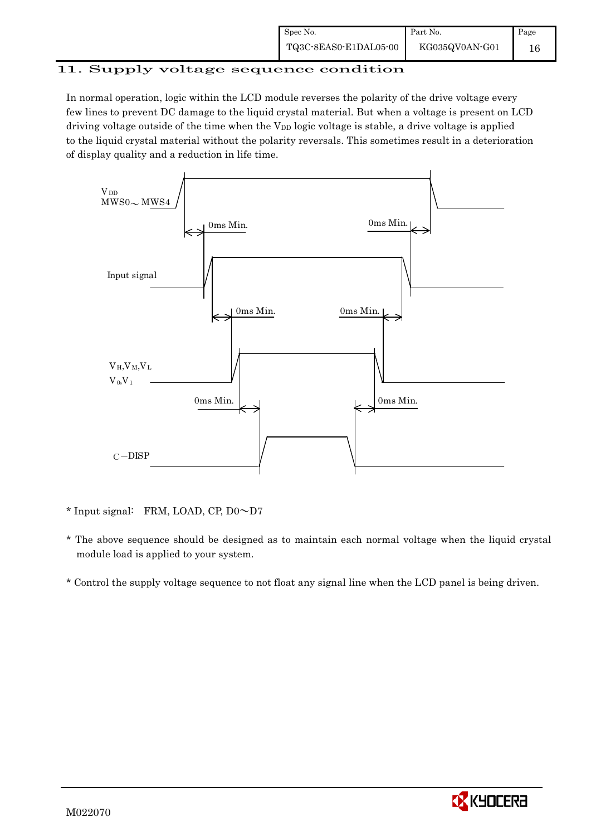| Spec No.              | Part No.       | Page |
|-----------------------|----------------|------|
| TQ3C-8EAS0-E1DAL05-00 | KG035QV0AN-G01 | 16   |

# 11. Supply voltage sequence condition

In normal operation, logic within the LCD module reverses the polarity of the drive voltage every few lines to prevent DC damage to the liquid crystal material. But when a voltage is present on LCD driving voltage outside of the time when the  $V_{DD}$  logic voltage is stable, a drive voltage is applied to the liquid crystal material without the polarity reversals. This sometimes result in a deterioration of display quality and a reduction in life time.



- \* Input signal: FRM, LOAD, CP,  $D0 \sim D7$
- \* The above sequence should be designed as to maintain each normal voltage when the liquid crystal module load is applied to your system.
- \* Control the supply voltage sequence to not float any signal line when the LCD panel is being driven.

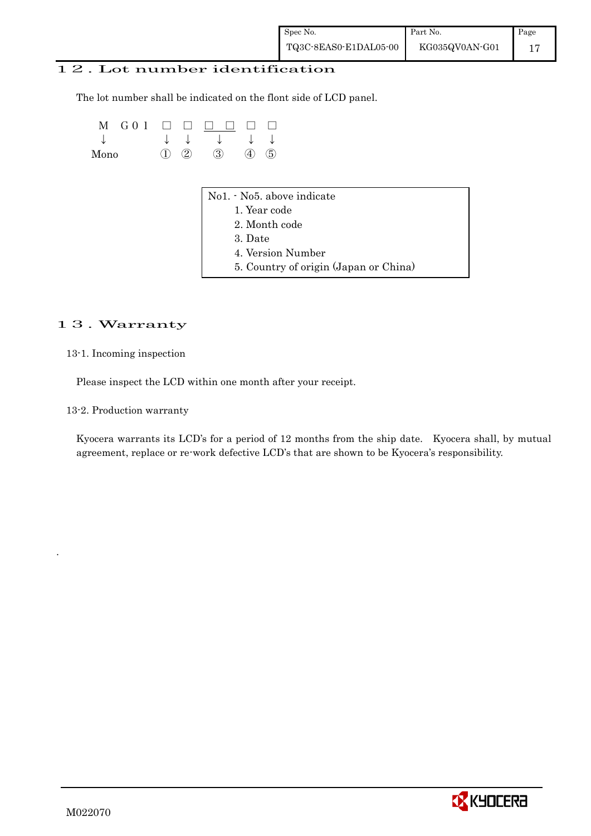### 12. Lot number identification

The lot number shall be indicated on the flont side of LCD panel.

| M<br>GO 1<br>↓<br>Mono | ↓<br>③<br>$\rm(2)$ | ↓<br>$\circledS$<br>(4)                                                                                                              |  |
|------------------------|--------------------|--------------------------------------------------------------------------------------------------------------------------------------|--|
|                        |                    | No1. - No5. above indicate<br>1. Year code<br>2. Month code<br>3. Date<br>4. Version Number<br>5. Country of origin (Japan or China) |  |

### 13. Warranty

13-1. Incoming inspection

Please inspect the LCD within one month after your receipt.

13-2. Production warranty

 Kyocera warrants its LCD's for a period of 12 months from the ship date. Kyocera shall, by mutual agreement, replace or re-work defective LCD's that are shown to be Kyocera's responsibility.



.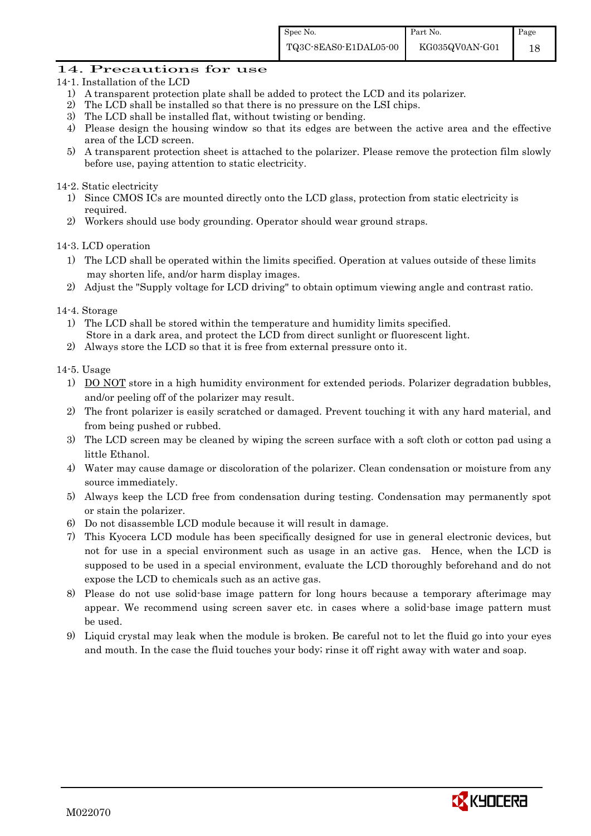#### 14. Precautions for use

- 14-1. Installation of the LCD
	- 1) A transparent protection plate shall be added to protect the LCD and its polarizer.
	- 2) The LCD shall be installed so that there is no pressure on the LSI chips.
	- 3) The LCD shall be installed flat, without twisting or bending.
	- 4) Please design the housing window so that its edges are between the active area and the effective area of the LCD screen.
	- 5) A transparent protection sheet is attached to the polarizer. Please remove the protection film slowly before use, paying attention to static electricity.

#### 14-2. Static electricity

- 1) Since CMOS ICs are mounted directly onto the LCD glass, protection from static electricity is required.
- 2) Workers should use body grounding. Operator should wear ground straps.

#### 14-3. LCD operation

- 1) The LCD shall be operated within the limits specified. Operation at values outside of these limits may shorten life, and/or harm display images.
- 2) Adjust the "Supply voltage for LCD driving" to obtain optimum viewing angle and contrast ratio.
- 14-4. Storage
	- 1) The LCD shall be stored within the temperature and humidity limits specified. Store in a dark area, and protect the LCD from direct sunlight or fluorescent light.
	- 2) Always store the LCD so that it is free from external pressure onto it.

#### 14-5. Usage

- 1) DO NOT store in a high humidity environment for extended periods. Polarizer degradation bubbles, and/or peeling off of the polarizer may result.
- 2) The front polarizer is easily scratched or damaged. Prevent touching it with any hard material, and from being pushed or rubbed.
- 3) The LCD screen may be cleaned by wiping the screen surface with a soft cloth or cotton pad using a little Ethanol.
- 4) Water may cause damage or discoloration of the polarizer. Clean condensation or moisture from any source immediately.
- 5) Always keep the LCD free from condensation during testing. Condensation may permanently spot or stain the polarizer.
- 6) Do not disassemble LCD module because it will result in damage.
- 7) This Kyocera LCD module has been specifically designed for use in general electronic devices, but not for use in a special environment such as usage in an active gas. Hence, when the LCD is supposed to be used in a special environment, evaluate the LCD thoroughly beforehand and do not expose the LCD to chemicals such as an active gas.
- 8) Please do not use solid-base image pattern for long hours because a temporary afterimage may appear. We recommend using screen saver etc. in cases where a solid-base image pattern must be used.
- 9) Liquid crystal may leak when the module is broken. Be careful not to let the fluid go into your eyes and mouth. In the case the fluid touches your body; rinse it off right away with water and soap.

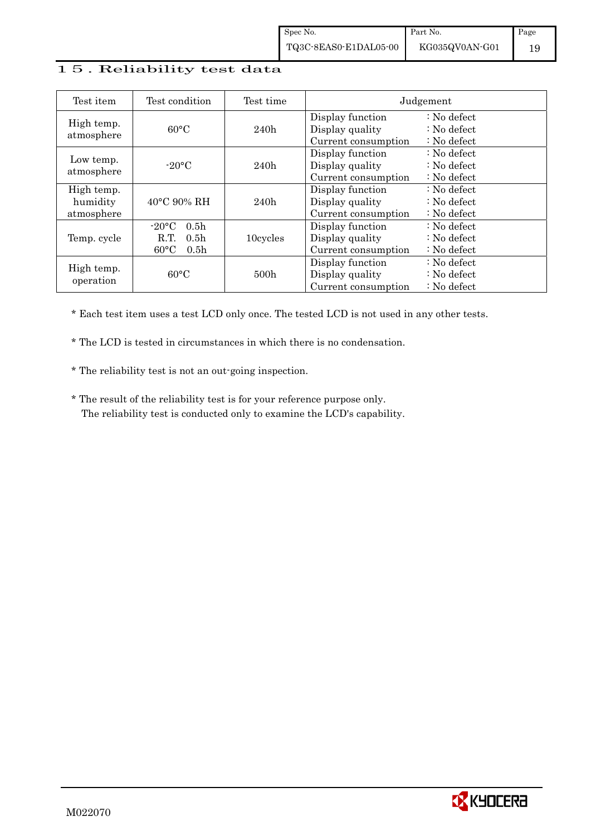#### 15. Reliability test data

| Test item                            | Test condition                                                                                           | Test time        |                                                            | Judgement                                                                  |
|--------------------------------------|----------------------------------------------------------------------------------------------------------|------------------|------------------------------------------------------------|----------------------------------------------------------------------------|
| High temp.<br>atmosphere             | $60^{\circ}$ C                                                                                           | 240h             | Display function<br>Display quality<br>Current consumption | $\therefore$ No defect<br>$\therefore$ No defect<br>$\therefore$ No defect |
| Low temp.<br>atmosphere              | $-20$ °C                                                                                                 | 240h             | Display function<br>Display quality<br>Current consumption | $\therefore$ No defect<br>$\therefore$ No defect<br>$\therefore$ No defect |
| High temp.<br>humidity<br>atmosphere | $40^{\circ}$ C 90% RH                                                                                    | 240h             | Display function<br>Display quality<br>Current consumption | $\therefore$ No defect<br>: No defect<br>$\therefore$ No defect            |
| Temp. cycle                          | $-20\textdegree C$<br>0.5 <sub>h</sub><br>R.T.<br>0.5 <sub>h</sub><br>$60^{\circ}$ C<br>0.5 <sub>h</sub> | 10cycles         | Display function<br>Display quality<br>Current consumption | : No defect<br>$\therefore$ No defect<br>$\therefore$ No defect            |
| High temp.<br>operation              | $60^{\circ}$ C                                                                                           | 500 <sub>h</sub> | Display function<br>Display quality<br>Current consumption | $\therefore$ No defect<br>$\therefore$ No defect<br>$\therefore$ No defect |

\* Each test item uses a test LCD only once. The tested LCD is not used in any other tests.

\* The LCD is tested in circumstances in which there is no condensation.

\* The reliability test is not an out-going inspection.

 \* The result of the reliability test is for your reference purpose only. The reliability test is conducted only to examine the LCD's capability.

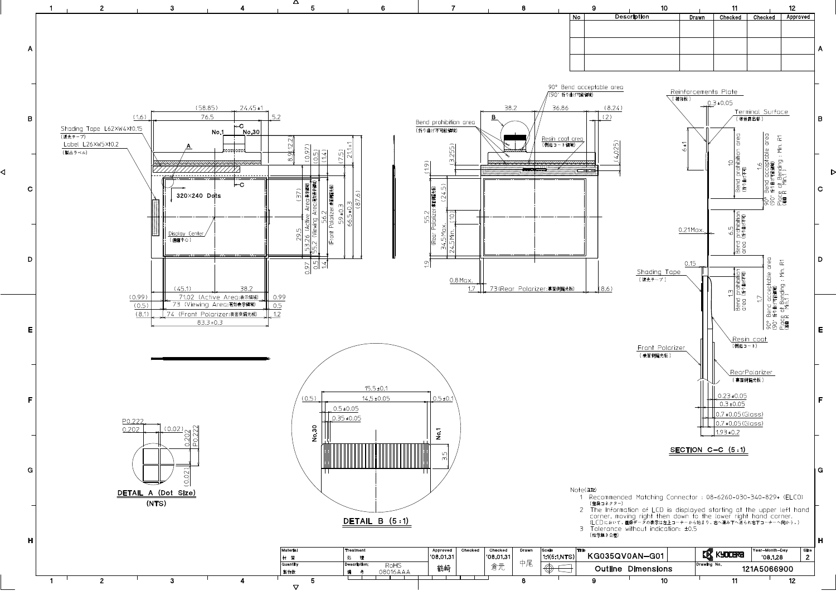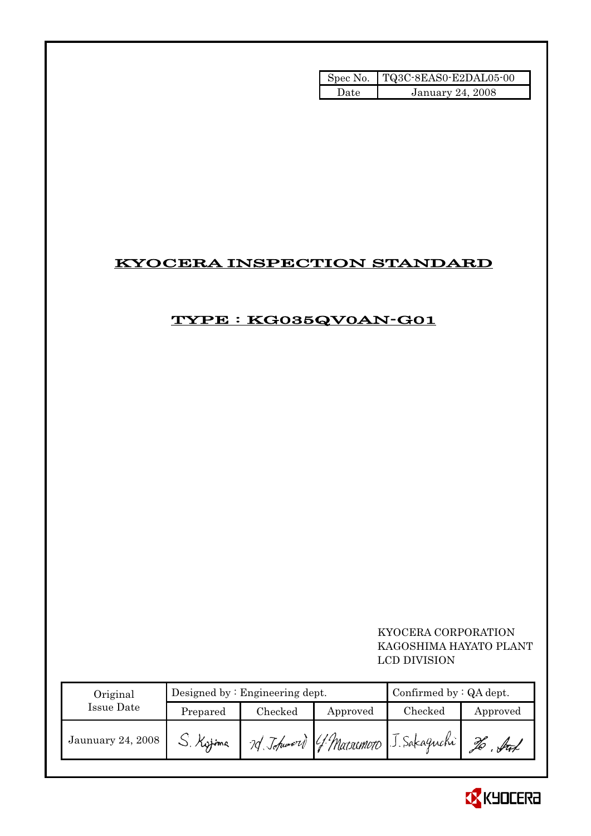|       | Spec No. TQ3C-8EAS0-E2DAL05-00 |
|-------|--------------------------------|
| Date. | <b>January 24, 2008</b>        |

# KYOCERA INSPECTION STANDARD

# TYPE : KG035QV0AN-G01

## KYOCERA CORPORATION KAGOSHIMA HAYATO PLANT LCD DIVISION

| Original          |           | Designed by $:$ Engineering dept. | Confirmed by $:QA$ dept. |                                       |          |
|-------------------|-----------|-----------------------------------|--------------------------|---------------------------------------|----------|
| Issue Date        | Prepared  | Checked                           | Approved                 | Checked                               | Approved |
| Jaunuary 24, 2008 | U. Kytima |                                   |                          | 79 Johnnord G. Matsumoto J. Sakaguchi |          |

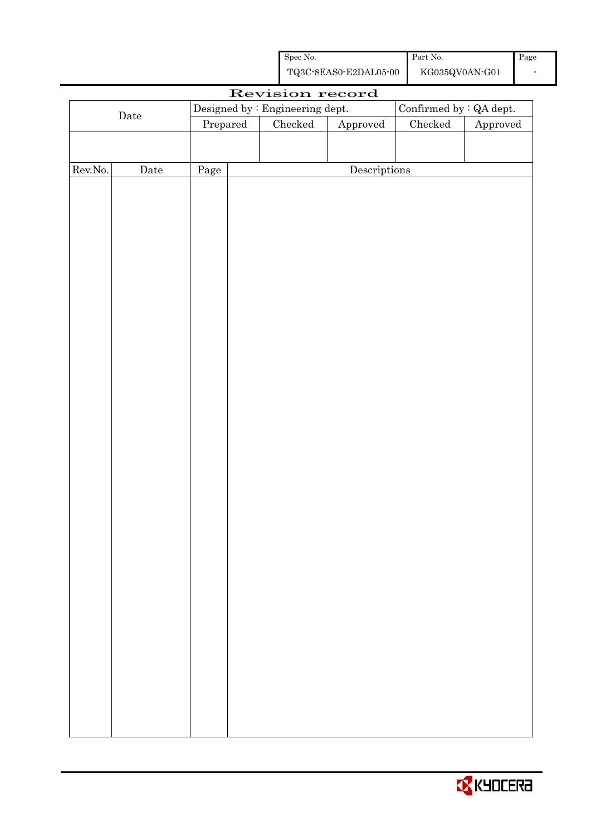| Spec No.              | Part No.       | Page |
|-----------------------|----------------|------|
| TQ3C-8EAS0-E2DAL05-00 | KG035QV0AN-G01 |      |

|         |                      |          | Revision record                 |                        |                          |          |
|---------|----------------------|----------|---------------------------------|------------------------|--------------------------|----------|
|         |                      |          | Designed by : Engineering dept. |                        | Confirmed by $:QA$ dept. |          |
|         | $\rm{\textbf{Date}}$ | Prepared | Checked                         | ${\Large\bf Approved}$ | $\rm Checked$            | Approved |
|         |                      |          |                                 |                        |                          |          |
|         |                      |          |                                 |                        |                          |          |
| Rev.No. | $\rm{Date}$          | Page     |                                 | Descriptions           |                          |          |
|         |                      |          |                                 |                        |                          |          |
|         |                      |          |                                 |                        |                          |          |
|         |                      |          |                                 |                        |                          |          |
|         |                      |          |                                 |                        |                          |          |
|         |                      |          |                                 |                        |                          |          |
|         |                      |          |                                 |                        |                          |          |
|         |                      |          |                                 |                        |                          |          |
|         |                      |          |                                 |                        |                          |          |
|         |                      |          |                                 |                        |                          |          |
|         |                      |          |                                 |                        |                          |          |
|         |                      |          |                                 |                        |                          |          |
|         |                      |          |                                 |                        |                          |          |
|         |                      |          |                                 |                        |                          |          |
|         |                      |          |                                 |                        |                          |          |
|         |                      |          |                                 |                        |                          |          |
|         |                      |          |                                 |                        |                          |          |
|         |                      |          |                                 |                        |                          |          |
|         |                      |          |                                 |                        |                          |          |
|         |                      |          |                                 |                        |                          |          |
|         |                      |          |                                 |                        |                          |          |
|         |                      |          |                                 |                        |                          |          |
|         |                      |          |                                 |                        |                          |          |
|         |                      |          |                                 |                        |                          |          |
|         |                      |          |                                 |                        |                          |          |
|         |                      |          |                                 |                        |                          |          |
|         |                      |          |                                 |                        |                          |          |
|         |                      |          |                                 |                        |                          |          |
|         |                      |          |                                 |                        |                          |          |
|         |                      |          |                                 |                        |                          |          |
|         |                      |          |                                 |                        |                          |          |
|         |                      |          |                                 |                        |                          |          |
|         |                      |          |                                 |                        |                          |          |
|         |                      |          |                                 |                        |                          |          |
|         |                      |          |                                 |                        |                          |          |
|         |                      |          |                                 |                        |                          |          |
|         |                      |          |                                 |                        |                          |          |

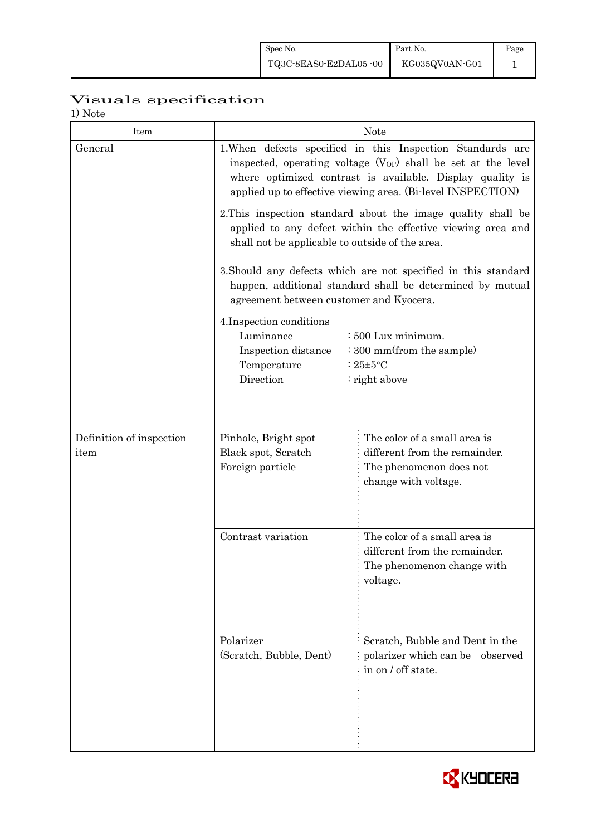| Spec No.              | Part No.       | Page |
|-----------------------|----------------|------|
| TQ3C-8EAS0-E2DAL05-00 | KG035QV0AN-G01 |      |

# Visuals specification

1) Note

| 1/1100<br>Item           |                                                                                                                                                                                                                                                             | <b>Note</b>                                                                                                                 |  |  |  |
|--------------------------|-------------------------------------------------------------------------------------------------------------------------------------------------------------------------------------------------------------------------------------------------------------|-----------------------------------------------------------------------------------------------------------------------------|--|--|--|
| General                  | 1. When defects specified in this Inspection Standards are<br>inspected, operating voltage $(V_{OP})$ shall be set at the level<br>where optimized contrast is available. Display quality is<br>applied up to effective viewing area. (Bi-level INSPECTION) |                                                                                                                             |  |  |  |
|                          | 2. This inspection standard about the image quality shall be<br>applied to any defect within the effective viewing area and<br>shall not be applicable to outside of the area.                                                                              |                                                                                                                             |  |  |  |
|                          | agreement between customer and Kyocera.                                                                                                                                                                                                                     | 3. Should any defects which are not specified in this standard<br>happen, additional standard shall be determined by mutual |  |  |  |
|                          | 4. Inspection conditions<br>Luminance<br>: 500 Lux minimum.<br>: 300 mm(from the sample)<br>Inspection distance<br>Temperature<br>: $25 \pm 5$ °C<br>Direction<br>: right above                                                                             |                                                                                                                             |  |  |  |
| Definition of inspection | Pinhole, Bright spot                                                                                                                                                                                                                                        | The color of a small area is                                                                                                |  |  |  |
| item                     | Black spot, Scratch<br>Foreign particle                                                                                                                                                                                                                     | different from the remainder.<br>The phenomenon does not<br>change with voltage.                                            |  |  |  |
|                          | Contrast variation                                                                                                                                                                                                                                          | The color of a small area is<br>different from the remainder.<br>The phenomenon change with<br>voltage.                     |  |  |  |
|                          | Polarizer<br>(Scratch, Bubble, Dent)                                                                                                                                                                                                                        | Scratch, Bubble and Dent in the<br>polarizer which can be observed<br>in on / off state.                                    |  |  |  |

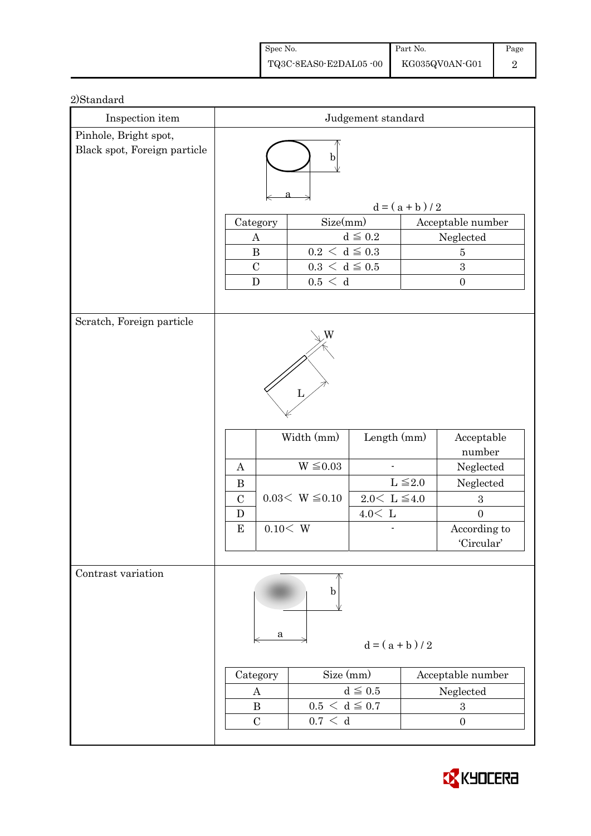| Spec No.              | Part No.       | Page |
|-----------------------|----------------|------|
| TQ3C-8EAS0-E2DAL05-00 | KG035QV0AN-G01 |      |

| Inspection item              | Judgement standard                                        |                                                                         |                                                        |                 |                                                                                                                    |  |
|------------------------------|-----------------------------------------------------------|-------------------------------------------------------------------------|--------------------------------------------------------|-----------------|--------------------------------------------------------------------------------------------------------------------|--|
| Pinhole, Bright spot,        |                                                           |                                                                         |                                                        |                 |                                                                                                                    |  |
| Black spot, Foreign particle | b                                                         |                                                                         |                                                        |                 |                                                                                                                    |  |
|                              |                                                           |                                                                         |                                                        | $d = (a + b)/2$ |                                                                                                                    |  |
|                              | Category                                                  | Size(mm)                                                                |                                                        |                 | Acceptable number                                                                                                  |  |
|                              | A                                                         |                                                                         | $d \leq 0.2$                                           |                 | Neglected                                                                                                          |  |
|                              | $0.2\,<\,\mathrm{d}\leq0.3$<br>$\bf{B}$<br>$\overline{5}$ |                                                                         |                                                        |                 |                                                                                                                    |  |
|                              | $\mathcal{C}$                                             | $0.3\,<\,\mathrm{d}\leq0.5$                                             |                                                        | 3               |                                                                                                                    |  |
|                              | $\mathbf D$                                               | 0.5 < d                                                                 |                                                        |                 | $\boldsymbol{0}$                                                                                                   |  |
|                              |                                                           |                                                                         |                                                        |                 |                                                                                                                    |  |
| Scratch, Foreign particle    | A<br>$\bf{B}$<br>$\mathcal{C}$<br>D<br>${\bf E}$          | W<br>L<br>Width (mm)<br>$W \leq 0.03$<br>$0.03< W \leq 0.10$<br>0.10< W | Length (mm)<br>$2.0\leq\,$ L $\leq\!4.0$<br>$4.0<\,$ L | $L \leq 2.0$    | Acceptable<br>number<br>Neglected<br>Neglected<br>$\boldsymbol{3}$<br>$\overline{0}$<br>According to<br>'Circular' |  |
| Contrast variation           | a<br>Category<br>A<br>$\bf{B}$<br>$\mathcal{C}$           | b<br>Size (mm)<br>$0.5 < d \leq 0.7$<br>0.7 < d                         | $d = (a + b)/2$<br>$d \leq 0.5$                        |                 | Acceptable number<br>Neglected<br>$\boldsymbol{3}$<br>$\boldsymbol{0}$                                             |  |